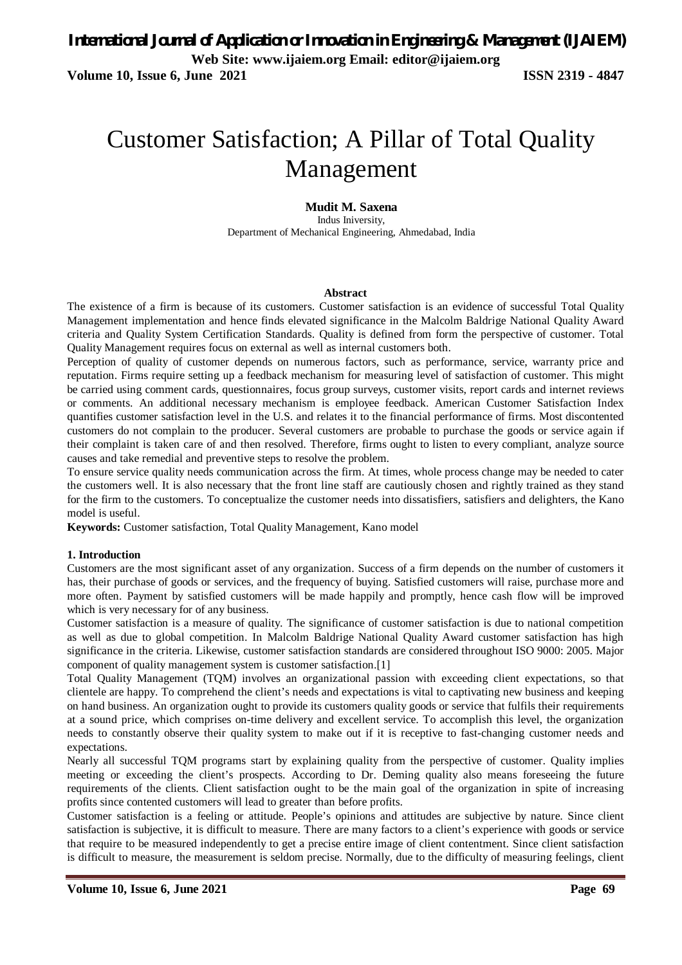**Volume 10, Issue 6, June 2021 ISSN 2319 - 4847** 

# Customer Satisfaction; A Pillar of Total Quality Management

#### **Mudit M. Saxena**

Indus Iniversity, Department of Mechanical Engineering, Ahmedabad, India

#### **Abstract**

The existence of a firm is because of its customers. Customer satisfaction is an evidence of successful Total Quality Management implementation and hence finds elevated significance in the Malcolm Baldrige National Quality Award criteria and Quality System Certification Standards. Quality is defined from form the perspective of customer. Total Quality Management requires focus on external as well as internal customers both.

Perception of quality of customer depends on numerous factors, such as performance, service, warranty price and reputation. Firms require setting up a feedback mechanism for measuring level of satisfaction of customer. This might be carried using comment cards, questionnaires, focus group surveys, customer visits, report cards and internet reviews or comments. An additional necessary mechanism is employee feedback. American Customer Satisfaction Index quantifies customer satisfaction level in the U.S. and relates it to the financial performance of firms. Most discontented customers do not complain to the producer. Several customers are probable to purchase the goods or service again if their complaint is taken care of and then resolved. Therefore, firms ought to listen to every compliant, analyze source causes and take remedial and preventive steps to resolve the problem.

To ensure service quality needs communication across the firm. At times, whole process change may be needed to cater the customers well. It is also necessary that the front line staff are cautiously chosen and rightly trained as they stand for the firm to the customers. To conceptualize the customer needs into dissatisfiers, satisfiers and delighters, the Kano model is useful.

**Keywords:** Customer satisfaction, Total Quality Management, Kano model

#### **1. Introduction**

Customers are the most significant asset of any organization. Success of a firm depends on the number of customers it has, their purchase of goods or services, and the frequency of buying. Satisfied customers will raise, purchase more and more often. Payment by satisfied customers will be made happily and promptly, hence cash flow will be improved which is very necessary for of any business.

Customer satisfaction is a measure of quality. The significance of customer satisfaction is due to national competition as well as due to global competition. In Malcolm Baldrige National Quality Award customer satisfaction has high significance in the criteria. Likewise, customer satisfaction standards are considered throughout ISO 9000: 2005. Major component of quality management system is customer satisfaction.[1]

Total Quality Management (TQM) involves an organizational passion with exceeding client expectations, so that clientele are happy. To comprehend the client's needs and expectations is vital to captivating new business and keeping on hand business. An organization ought to provide its customers quality goods or service that fulfils their requirements at a sound price, which comprises on-time delivery and excellent service. To accomplish this level, the organization needs to constantly observe their quality system to make out if it is receptive to fast-changing customer needs and expectations.

Nearly all successful TQM programs start by explaining quality from the perspective of customer. Quality implies meeting or exceeding the client's prospects. According to Dr. Deming quality also means foreseeing the future requirements of the clients. Client satisfaction ought to be the main goal of the organization in spite of increasing profits since contented customers will lead to greater than before profits.

Customer satisfaction is a feeling or attitude. People's opinions and attitudes are subjective by nature. Since client satisfaction is subjective, it is difficult to measure. There are many factors to a client's experience with goods or service that require to be measured independently to get a precise entire image of client contentment. Since client satisfaction is difficult to measure, the measurement is seldom precise. Normally, due to the difficulty of measuring feelings, client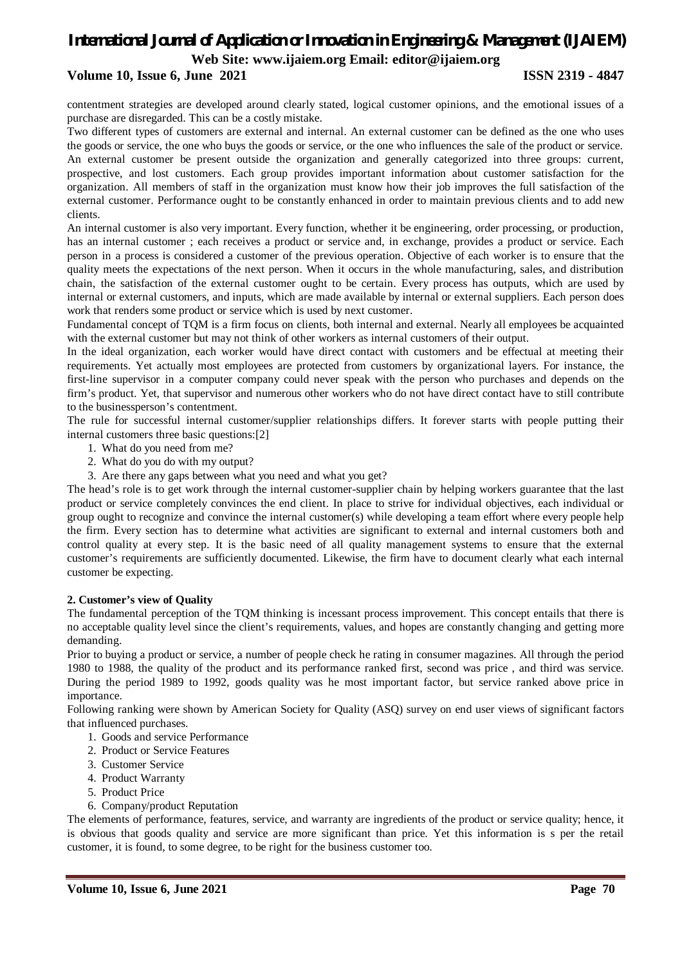#### **Volume 10, Issue 6, June 2021 ISSN 2319 - 4847**

contentment strategies are developed around clearly stated, logical customer opinions, and the emotional issues of a purchase are disregarded. This can be a costly mistake.

Two different types of customers are external and internal. An external customer can be defined as the one who uses the goods or service, the one who buys the goods or service, or the one who influences the sale of the product or service. An external customer be present outside the organization and generally categorized into three groups: current, prospective, and lost customers. Each group provides important information about customer satisfaction for the organization. All members of staff in the organization must know how their job improves the full satisfaction of the external customer. Performance ought to be constantly enhanced in order to maintain previous clients and to add new clients.

An internal customer is also very important. Every function, whether it be engineering, order processing, or production, has an internal customer ; each receives a product or service and, in exchange, provides a product or service. Each person in a process is considered a customer of the previous operation. Objective of each worker is to ensure that the quality meets the expectations of the next person. When it occurs in the whole manufacturing, sales, and distribution chain, the satisfaction of the external customer ought to be certain. Every process has outputs, which are used by internal or external customers, and inputs, which are made available by internal or external suppliers. Each person does work that renders some product or service which is used by next customer.

Fundamental concept of TQM is a firm focus on clients, both internal and external. Nearly all employees be acquainted with the external customer but may not think of other workers as internal customers of their output.

In the ideal organization, each worker would have direct contact with customers and be effectual at meeting their requirements. Yet actually most employees are protected from customers by organizational layers. For instance, the first-line supervisor in a computer company could never speak with the person who purchases and depends on the firm's product. Yet, that supervisor and numerous other workers who do not have direct contact have to still contribute to the businessperson's contentment.

The rule for successful internal customer/supplier relationships differs. It forever starts with people putting their internal customers three basic questions:[2]

- 1. What do you need from me?
- 2. What do you do with my output?
- 3. Are there any gaps between what you need and what you get?

The head's role is to get work through the internal customer-supplier chain by helping workers guarantee that the last product or service completely convinces the end client. In place to strive for individual objectives, each individual or group ought to recognize and convince the internal customer(s) while developing a team effort where every people help the firm. Every section has to determine what activities are significant to external and internal customers both and control quality at every step. It is the basic need of all quality management systems to ensure that the external customer's requirements are sufficiently documented. Likewise, the firm have to document clearly what each internal customer be expecting.

#### **2. Customer's view of Quality**

The fundamental perception of the TQM thinking is incessant process improvement. This concept entails that there is no acceptable quality level since the client's requirements, values, and hopes are constantly changing and getting more demanding.

Prior to buying a product or service, a number of people check he rating in consumer magazines. All through the period 1980 to 1988, the quality of the product and its performance ranked first, second was price , and third was service. During the period 1989 to 1992, goods quality was he most important factor, but service ranked above price in importance.

Following ranking were shown by American Society for Quality (ASQ) survey on end user views of significant factors that influenced purchases.

- 1. Goods and service Performance
- 2. Product or Service Features
- 3. Customer Service
- 4. Product Warranty
- 5. Product Price
- 6. Company/product Reputation

The elements of performance, features, service, and warranty are ingredients of the product or service quality; hence, it is obvious that goods quality and service are more significant than price. Yet this information is s per the retail customer, it is found, to some degree, to be right for the business customer too.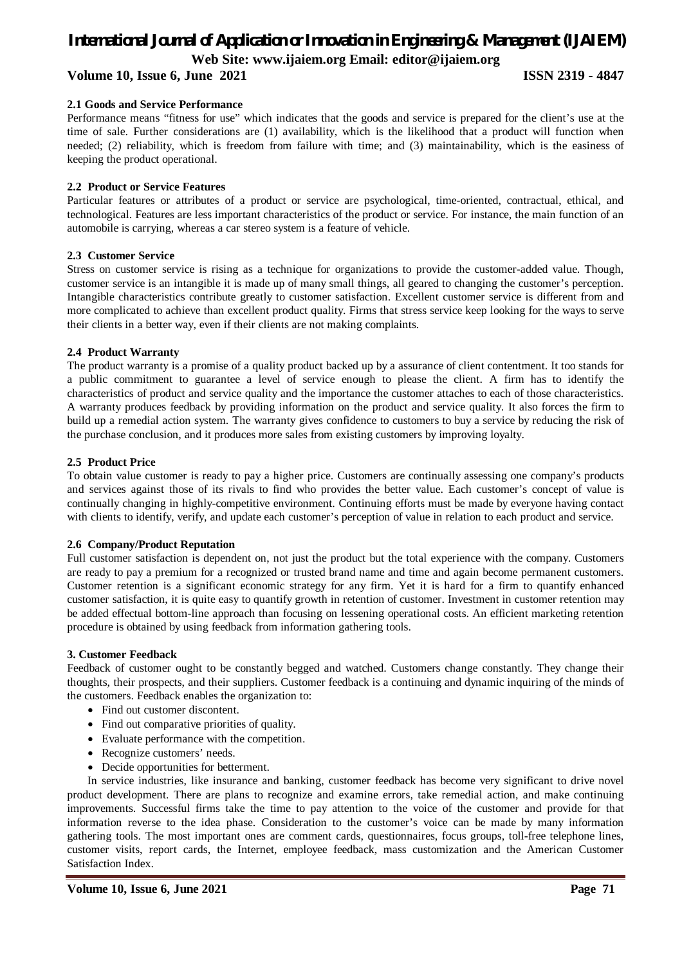#### **Volume 10, Issue 6, June 2021 ISSN 2319 - 4847**

### **2.1 Goods and Service Performance**

Performance means "fitness for use" which indicates that the goods and service is prepared for the client's use at the time of sale. Further considerations are (1) availability, which is the likelihood that a product will function when needed; (2) reliability, which is freedom from failure with time; and (3) maintainability, which is the easiness of keeping the product operational.

#### **2.2 Product or Service Features**

Particular features or attributes of a product or service are psychological, time-oriented, contractual, ethical, and technological. Features are less important characteristics of the product or service. For instance, the main function of an automobile is carrying, whereas a car stereo system is a feature of vehicle.

#### **2.3 Customer Service**

Stress on customer service is rising as a technique for organizations to provide the customer-added value. Though, customer service is an intangible it is made up of many small things, all geared to changing the customer's perception. Intangible characteristics contribute greatly to customer satisfaction. Excellent customer service is different from and more complicated to achieve than excellent product quality. Firms that stress service keep looking for the ways to serve their clients in a better way, even if their clients are not making complaints.

#### **2.4 Product Warranty**

The product warranty is a promise of a quality product backed up by a assurance of client contentment. It too stands for a public commitment to guarantee a level of service enough to please the client. A firm has to identify the characteristics of product and service quality and the importance the customer attaches to each of those characteristics. A warranty produces feedback by providing information on the product and service quality. It also forces the firm to build up a remedial action system. The warranty gives confidence to customers to buy a service by reducing the risk of the purchase conclusion, and it produces more sales from existing customers by improving loyalty.

#### **2.5 Product Price**

To obtain value customer is ready to pay a higher price. Customers are continually assessing one company's products and services against those of its rivals to find who provides the better value. Each customer's concept of value is continually changing in highly-competitive environment. Continuing efforts must be made by everyone having contact with clients to identify, verify, and update each customer's perception of value in relation to each product and service.

#### **2.6 Company/Product Reputation**

Full customer satisfaction is dependent on, not just the product but the total experience with the company. Customers are ready to pay a premium for a recognized or trusted brand name and time and again become permanent customers. Customer retention is a significant economic strategy for any firm. Yet it is hard for a firm to quantify enhanced customer satisfaction, it is quite easy to quantify growth in retention of customer. Investment in customer retention may be added effectual bottom-line approach than focusing on lessening operational costs. An efficient marketing retention procedure is obtained by using feedback from information gathering tools.

#### **3. Customer Feedback**

Feedback of customer ought to be constantly begged and watched. Customers change constantly. They change their thoughts, their prospects, and their suppliers. Customer feedback is a continuing and dynamic inquiring of the minds of the customers. Feedback enables the organization to:

- Find out customer discontent.
- Find out comparative priorities of quality.
- Evaluate performance with the competition.
- Recognize customers' needs.
- Decide opportunities for betterment.

In service industries, like insurance and banking, customer feedback has become very significant to drive novel product development. There are plans to recognize and examine errors, take remedial action, and make continuing improvements. Successful firms take the time to pay attention to the voice of the customer and provide for that information reverse to the idea phase. Consideration to the customer's voice can be made by many information gathering tools. The most important ones are comment cards, questionnaires, focus groups, toll-free telephone lines, customer visits, report cards, the Internet, employee feedback, mass customization and the American Customer Satisfaction Index.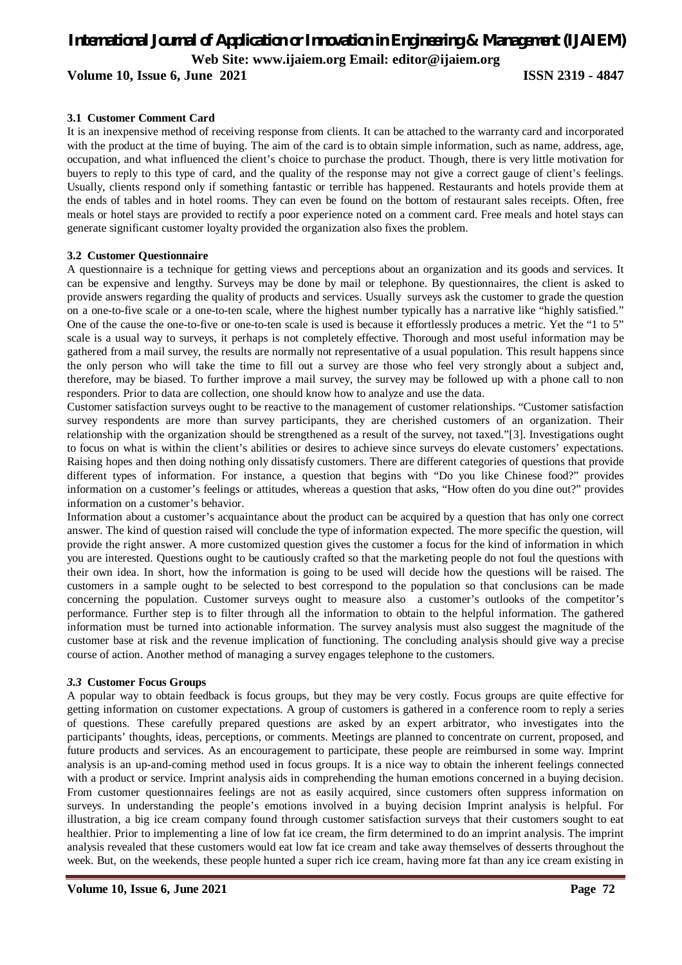**Volume 10, Issue 6, June 2021 ISSN 2319 - 4847** 

#### **3.1 Customer Comment Card**

It is an inexpensive method of receiving response from clients. It can be attached to the warranty card and incorporated with the product at the time of buying. The aim of the card is to obtain simple information, such as name, address, age, occupation, and what influenced the client's choice to purchase the product. Though, there is very little motivation for buyers to reply to this type of card, and the quality of the response may not give a correct gauge of client's feelings. Usually, clients respond only if something fantastic or terrible has happened. Restaurants and hotels provide them at the ends of tables and in hotel rooms. They can even be found on the bottom of restaurant sales receipts. Often, free meals or hotel stays are provided to rectify a poor experience noted on a comment card. Free meals and hotel stays can generate significant customer loyalty provided the organization also fixes the problem.

#### **3.2 Customer Questionnaire**

A questionnaire is a technique for getting views and perceptions about an organization and its goods and services. It can be expensive and lengthy. Surveys may be done by mail or telephone. By questionnaires, the client is asked to provide answers regarding the quality of products and services. Usually surveys ask the customer to grade the question on a one-to-five scale or a one-to-ten scale, where the highest number typically has a narrative like "highly satisfied." One of the cause the one-to-five or one-to-ten scale is used is because it effortlessly produces a metric. Yet the "1 to 5" scale is a usual way to surveys, it perhaps is not completely effective. Thorough and most useful information may be gathered from a mail survey, the results are normally not representative of a usual population. This result happens since the only person who will take the time to fill out a survey are those who feel very strongly about a subject and, therefore, may be biased. To further improve a mail survey, the survey may be followed up with a phone call to non responders. Prior to data are collection, one should know how to analyze and use the data.

Customer satisfaction surveys ought to be reactive to the management of customer relationships. "Customer satisfaction survey respondents are more than survey participants, they are cherished customers of an organization. Their relationship with the organization should be strengthened as a result of the survey, not taxed."[3]. Investigations ought to focus on what is within the client's abilities or desires to achieve since surveys do elevate customers' expectations. Raising hopes and then doing nothing only dissatisfy customers. There are different categories of questions that provide different types of information. For instance, a question that begins with "Do you like Chinese food?" provides information on a customer's feelings or attitudes, whereas a question that asks, "How often do you dine out?" provides information on a customer's behavior.

Information about a customer's acquaintance about the product can be acquired by a question that has only one correct answer. The kind of question raised will conclude the type of information expected. The more specific the question, will provide the right answer. A more customized question gives the customer a focus for the kind of information in which you are interested. Questions ought to be cautiously crafted so that the marketing people do not foul the questions with their own idea. In short, how the information is going to be used will decide how the questions will be raised. The customers in a sample ought to be selected to best correspond to the population so that conclusions can be made concerning the population. Customer surveys ought to measure also a customer's outlooks of the competitor's performance. Further step is to filter through all the information to obtain to the helpful information. The gathered information must be turned into actionable information. The survey analysis must also suggest the magnitude of the customer base at risk and the revenue implication of functioning. The concluding analysis should give way a precise course of action. Another method of managing a survey engages telephone to the customers.

#### *3.3* **Customer Focus Groups**

A popular way to obtain feedback is focus groups, but they may be very costly. Focus groups are quite effective for getting information on customer expectations. A group of customers is gathered in a conference room to reply a series of questions. These carefully prepared questions are asked by an expert arbitrator, who investigates into the participants' thoughts, ideas, perceptions, or comments. Meetings are planned to concentrate on current, proposed, and future products and services. As an encouragement to participate, these people are reimbursed in some way. Imprint analysis is an up-and-coming method used in focus groups. It is a nice way to obtain the inherent feelings connected with a product or service. Imprint analysis aids in comprehending the human emotions concerned in a buying decision. From customer questionnaires feelings are not as easily acquired, since customers often suppress information on surveys. In understanding the people's emotions involved in a buying decision Imprint analysis is helpful. For illustration, a big ice cream company found through customer satisfaction surveys that their customers sought to eat healthier. Prior to implementing a line of low fat ice cream, the firm determined to do an imprint analysis. The imprint analysis revealed that these customers would eat low fat ice cream and take away themselves of desserts throughout the week. But, on the weekends, these people hunted a super rich ice cream, having more fat than any ice cream existing in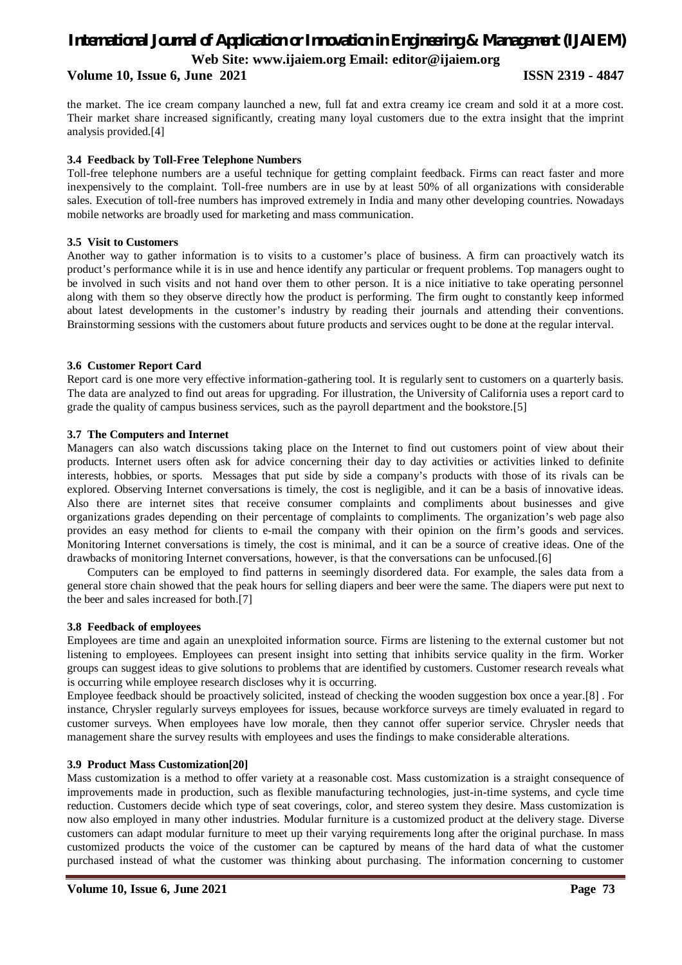#### **Volume 10, Issue 6, June 2021 ISSN 2319 - 4847**

the market. The ice cream company launched a new, full fat and extra creamy ice cream and sold it at a more cost. Their market share increased significantly, creating many loyal customers due to the extra insight that the imprint analysis provided.[4]

### **3.4 Feedback by Toll-Free Telephone Numbers**

Toll-free telephone numbers are a useful technique for getting complaint feedback. Firms can react faster and more inexpensively to the complaint. Toll-free numbers are in use by at least 50% of all organizations with considerable sales. Execution of toll-free numbers has improved extremely in India and many other developing countries. Nowadays mobile networks are broadly used for marketing and mass communication.

## **3.5 Visit to Customers**

Another way to gather information is to visits to a customer's place of business. A firm can proactively watch its product's performance while it is in use and hence identify any particular or frequent problems. Top managers ought to be involved in such visits and not hand over them to other person. It is a nice initiative to take operating personnel along with them so they observe directly how the product is performing. The firm ought to constantly keep informed about latest developments in the customer's industry by reading their journals and attending their conventions. Brainstorming sessions with the customers about future products and services ought to be done at the regular interval.

#### **3.6 Customer Report Card**

Report card is one more very effective information-gathering tool. It is regularly sent to customers on a quarterly basis. The data are analyzed to find out areas for upgrading. For illustration, the University of California uses a report card to grade the quality of campus business services, such as the payroll department and the bookstore.[5]

#### **3.7 The Computers and Internet**

Managers can also watch discussions taking place on the Internet to find out customers point of view about their products. Internet users often ask for advice concerning their day to day activities or activities linked to definite interests, hobbies, or sports. Messages that put side by side a company's products with those of its rivals can be explored. Observing Internet conversations is timely, the cost is negligible, and it can be a basis of innovative ideas. Also there are internet sites that receive consumer complaints and compliments about businesses and give organizations grades depending on their percentage of complaints to compliments. The organization's web page also provides an easy method for clients to e-mail the company with their opinion on the firm's goods and services. Monitoring Internet conversations is timely, the cost is minimal, and it can be a source of creative ideas. One of the drawbacks of monitoring Internet conversations, however, is that the conversations can be unfocused.[6]

Computers can be employed to find patterns in seemingly disordered data. For example, the sales data from a general store chain showed that the peak hours for selling diapers and beer were the same. The diapers were put next to the beer and sales increased for both.[7]

#### **3.8 Feedback of employees**

Employees are time and again an unexploited information source. Firms are listening to the external customer but not listening to employees. Employees can present insight into setting that inhibits service quality in the firm. Worker groups can suggest ideas to give solutions to problems that are identified by customers. Customer research reveals what is occurring while employee research discloses why it is occurring.

Employee feedback should be proactively solicited, instead of checking the wooden suggestion box once a year.[8] . For instance, Chrysler regularly surveys employees for issues, because workforce surveys are timely evaluated in regard to customer surveys. When employees have low morale, then they cannot offer superior service. Chrysler needs that management share the survey results with employees and uses the findings to make considerable alterations.

#### **3.9 Product Mass Customization[20]**

Mass customization is a method to offer variety at a reasonable cost. Mass customization is a straight consequence of improvements made in production, such as flexible manufacturing technologies, just-in-time systems, and cycle time reduction. Customers decide which type of seat coverings, color, and stereo system they desire. Mass customization is now also employed in many other industries. Modular furniture is a customized product at the delivery stage. Diverse customers can adapt modular furniture to meet up their varying requirements long after the original purchase. In mass customized products the voice of the customer can be captured by means of the hard data of what the customer purchased instead of what the customer was thinking about purchasing. The information concerning to customer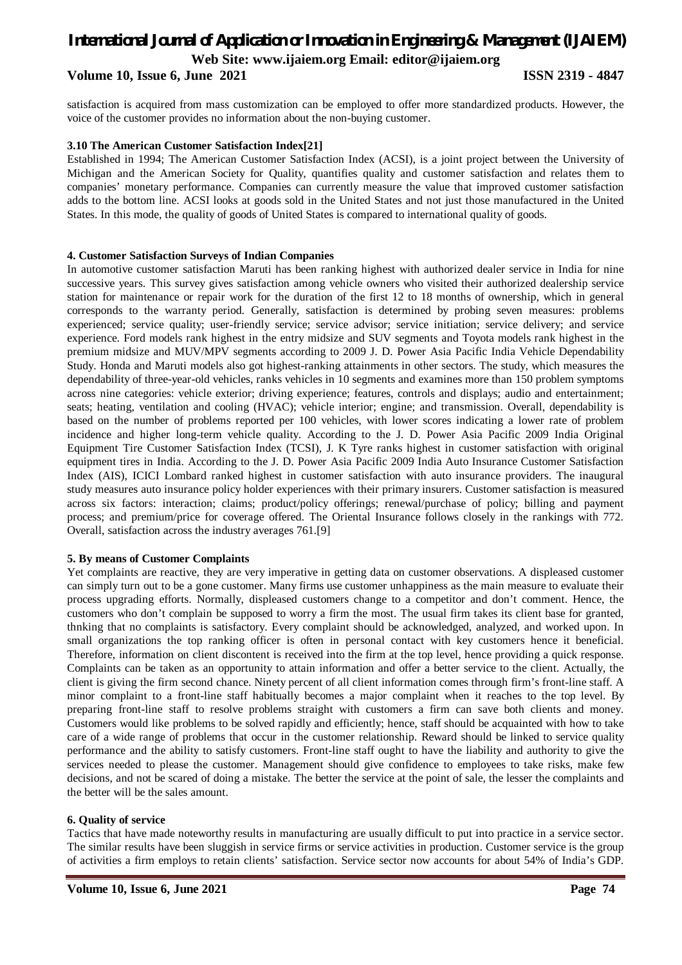#### **Volume 10, Issue 6, June 2021 ISSN 2319 - 4847**

satisfaction is acquired from mass customization can be employed to offer more standardized products. However, the voice of the customer provides no information about the non-buying customer.

#### **3.10 The American Customer Satisfaction Index[21]**

Established in 1994; The American Customer Satisfaction Index (ACSI), is a joint project between the University of Michigan and the American Society for Quality, quantifies quality and customer satisfaction and relates them to companies' monetary performance. Companies can currently measure the value that improved customer satisfaction adds to the bottom line. ACSI looks at goods sold in the United States and not just those manufactured in the United States. In this mode, the quality of goods of United States is compared to international quality of goods.

#### **4. Customer Satisfaction Surveys of Indian Companies**

In automotive customer satisfaction Maruti has been ranking highest with authorized dealer service in India for nine successive years. This survey gives satisfaction among vehicle owners who visited their authorized dealership service station for maintenance or repair work for the duration of the first 12 to 18 months of ownership, which in general corresponds to the warranty period. Generally, satisfaction is determined by probing seven measures: problems experienced; service quality; user-friendly service; service advisor; service initiation; service delivery; and service experience. Ford models rank highest in the entry midsize and SUV segments and Toyota models rank highest in the premium midsize and MUV/MPV segments according to 2009 J. D. Power Asia Pacific India Vehicle Dependability Study. Honda and Maruti models also got highest-ranking attainments in other sectors. The study, which measures the dependability of three-year-old vehicles, ranks vehicles in 10 segments and examines more than 150 problem symptoms across nine categories: vehicle exterior; driving experience; features, controls and displays; audio and entertainment; seats; heating, ventilation and cooling (HVAC); vehicle interior; engine; and transmission. Overall, dependability is based on the number of problems reported per 100 vehicles, with lower scores indicating a lower rate of problem incidence and higher long-term vehicle quality. According to the J. D. Power Asia Pacific 2009 India Original Equipment Tire Customer Satisfaction Index (TCSI), J. K Tyre ranks highest in customer satisfaction with original equipment tires in India. According to the J. D. Power Asia Pacific 2009 India Auto Insurance Customer Satisfaction Index (AIS), ICICI Lombard ranked highest in customer satisfaction with auto insurance providers. The inaugural study measures auto insurance policy holder experiences with their primary insurers. Customer satisfaction is measured across six factors: interaction; claims; product/policy offerings; renewal/purchase of policy; billing and payment process; and premium/price for coverage offered. The Oriental Insurance follows closely in the rankings with 772. Overall, satisfaction across the industry averages 761.[9]

#### **5. By means of Customer Complaints**

Yet complaints are reactive, they are very imperative in getting data on customer observations. A displeased customer can simply turn out to be a gone customer. Many firms use customer unhappiness as the main measure to evaluate their process upgrading efforts. Normally, displeased customers change to a competitor and don't comment. Hence, the customers who don't complain be supposed to worry a firm the most. The usual firm takes its client base for granted, thnking that no complaints is satisfactory. Every complaint should be acknowledged, analyzed, and worked upon. In small organizations the top ranking officer is often in personal contact with key customers hence it beneficial. Therefore, information on client discontent is received into the firm at the top level, hence providing a quick response. Complaints can be taken as an opportunity to attain information and offer a better service to the client. Actually, the client is giving the firm second chance. Ninety percent of all client information comes through firm's front-line staff. A minor complaint to a front-line staff habitually becomes a major complaint when it reaches to the top level. By preparing front-line staff to resolve problems straight with customers a firm can save both clients and money. Customers would like problems to be solved rapidly and efficiently; hence, staff should be acquainted with how to take care of a wide range of problems that occur in the customer relationship. Reward should be linked to service quality performance and the ability to satisfy customers. Front-line staff ought to have the liability and authority to give the services needed to please the customer. Management should give confidence to employees to take risks, make few decisions, and not be scared of doing a mistake. The better the service at the point of sale, the lesser the complaints and the better will be the sales amount.

#### **6. Quality of service**

Tactics that have made noteworthy results in manufacturing are usually difficult to put into practice in a service sector. The similar results have been sluggish in service firms or service activities in production. Customer service is the group of activities a firm employs to retain clients' satisfaction. Service sector now accounts for about 54% of India's GDP.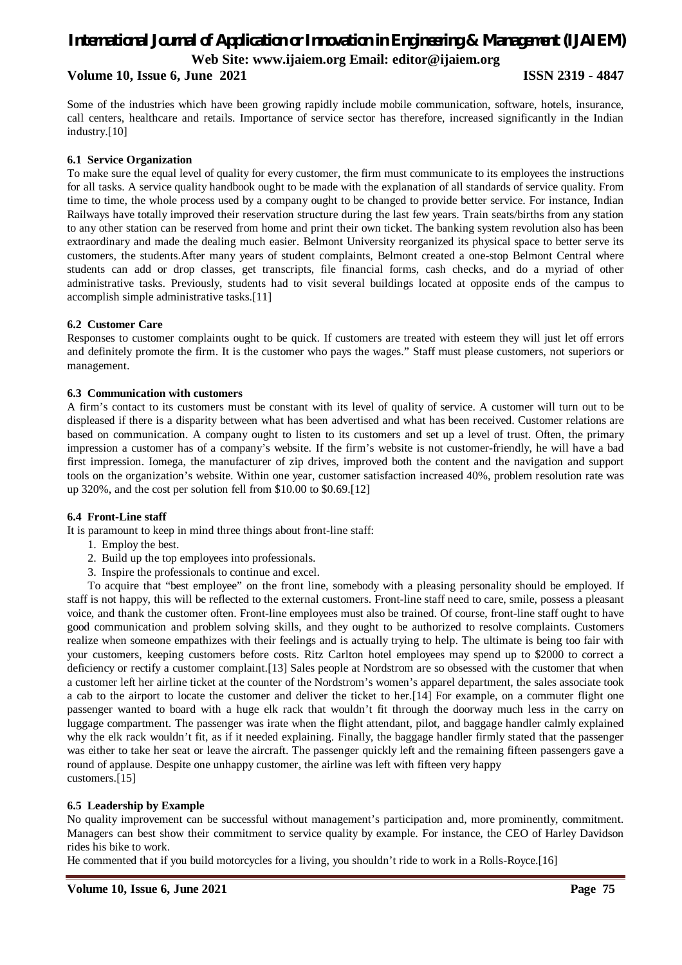**Volume 10, Issue 6, June 2021 ISSN 2319 - 4847**

Some of the industries which have been growing rapidly include mobile communication, software, hotels, insurance, call centers, healthcare and retails. Importance of service sector has therefore, increased significantly in the Indian industry.[10]

#### **6.1 Service Organization**

To make sure the equal level of quality for every customer, the firm must communicate to its employees the instructions for all tasks. A service quality handbook ought to be made with the explanation of all standards of service quality. From time to time, the whole process used by a company ought to be changed to provide better service. For instance, Indian Railways have totally improved their reservation structure during the last few years. Train seats/births from any station to any other station can be reserved from home and print their own ticket. The banking system revolution also has been extraordinary and made the dealing much easier. Belmont University reorganized its physical space to better serve its customers, the students.After many years of student complaints, Belmont created a one-stop Belmont Central where students can add or drop classes, get transcripts, file financial forms, cash checks, and do a myriad of other administrative tasks. Previously, students had to visit several buildings located at opposite ends of the campus to accomplish simple administrative tasks.[11]

#### **6.2 Customer Care**

Responses to customer complaints ought to be quick. If customers are treated with esteem they will just let off errors and definitely promote the firm. It is the customer who pays the wages." Staff must please customers, not superiors or management.

#### **6.3 Communication with customers**

A firm's contact to its customers must be constant with its level of quality of service. A customer will turn out to be displeased if there is a disparity between what has been advertised and what has been received. Customer relations are based on communication. A company ought to listen to its customers and set up a level of trust. Often, the primary impression a customer has of a company's website. If the firm's website is not customer-friendly, he will have a bad first impression. Iomega, the manufacturer of zip drives, improved both the content and the navigation and support tools on the organization's website. Within one year, customer satisfaction increased 40%, problem resolution rate was up 320%, and the cost per solution fell from \$10.00 to \$0.69.[12]

#### **6.4 Front-Line staff**

It is paramount to keep in mind three things about front-line staff:

- 1. Employ the best.
- 2. Build up the top employees into professionals.
- 3. Inspire the professionals to continue and excel.

To acquire that "best employee" on the front line, somebody with a pleasing personality should be employed. If staff is not happy, this will be reflected to the external customers. Front-line staff need to care, smile, possess a pleasant voice, and thank the customer often. Front-line employees must also be trained. Of course, front-line staff ought to have good communication and problem solving skills, and they ought to be authorized to resolve complaints. Customers realize when someone empathizes with their feelings and is actually trying to help. The ultimate is being too fair with your customers, keeping customers before costs. Ritz Carlton hotel employees may spend up to \$2000 to correct a deficiency or rectify a customer complaint.[13] Sales people at Nordstrom are so obsessed with the customer that when a customer left her airline ticket at the counter of the Nordstrom's women's apparel department, the sales associate took a cab to the airport to locate the customer and deliver the ticket to her.[14] For example, on a commuter flight one passenger wanted to board with a huge elk rack that wouldn't fit through the doorway much less in the carry on luggage compartment. The passenger was irate when the flight attendant, pilot, and baggage handler calmly explained why the elk rack wouldn't fit, as if it needed explaining. Finally, the baggage handler firmly stated that the passenger was either to take her seat or leave the aircraft. The passenger quickly left and the remaining fifteen passengers gave a round of applause. Despite one unhappy customer, the airline was left with fifteen very happy customers.[15]

#### **6.5 Leadership by Example**

No quality improvement can be successful without management's participation and, more prominently, commitment. Managers can best show their commitment to service quality by example. For instance, the CEO of Harley Davidson rides his bike to work.

He commented that if you build motorcycles for a living, you shouldn't ride to work in a Rolls-Royce.[16]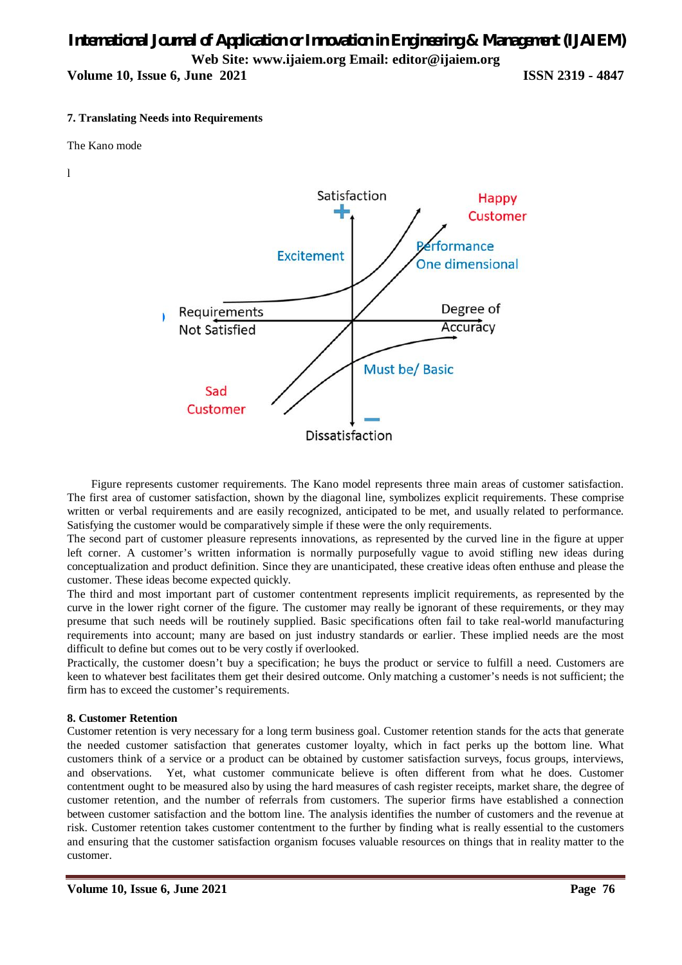**Volume 10, Issue 6, June 2021 ISSN 2319 - 4847** 

#### **7. Translating Needs into Requirements**

The Kano mode

l



Figure represents customer requirements. The Kano model represents three main areas of customer satisfaction. The first area of customer satisfaction, shown by the diagonal line, symbolizes explicit requirements. These comprise written or verbal requirements and are easily recognized, anticipated to be met, and usually related to performance. Satisfying the customer would be comparatively simple if these were the only requirements.

The second part of customer pleasure represents innovations, as represented by the curved line in the figure at upper left corner. A customer's written information is normally purposefully vague to avoid stifling new ideas during conceptualization and product definition. Since they are unanticipated, these creative ideas often enthuse and please the customer. These ideas become expected quickly.

The third and most important part of customer contentment represents implicit requirements, as represented by the curve in the lower right corner of the figure. The customer may really be ignorant of these requirements, or they may presume that such needs will be routinely supplied. Basic specifications often fail to take real-world manufacturing requirements into account; many are based on just industry standards or earlier. These implied needs are the most difficult to define but comes out to be very costly if overlooked.

Practically, the customer doesn't buy a specification; he buys the product or service to fulfill a need. Customers are keen to whatever best facilitates them get their desired outcome. Only matching a customer's needs is not sufficient; the firm has to exceed the customer's requirements.

#### **8. Customer Retention**

Customer retention is very necessary for a long term business goal. Customer retention stands for the acts that generate the needed customer satisfaction that generates customer loyalty, which in fact perks up the bottom line. What customers think of a service or a product can be obtained by customer satisfaction surveys, focus groups, interviews, and observations. Yet, what customer communicate believe is often different from what he does. Customer contentment ought to be measured also by using the hard measures of cash register receipts, market share, the degree of customer retention, and the number of referrals from customers. The superior firms have established a connection between customer satisfaction and the bottom line. The analysis identifies the number of customers and the revenue at risk. Customer retention takes customer contentment to the further by finding what is really essential to the customers and ensuring that the customer satisfaction organism focuses valuable resources on things that in reality matter to the customer.